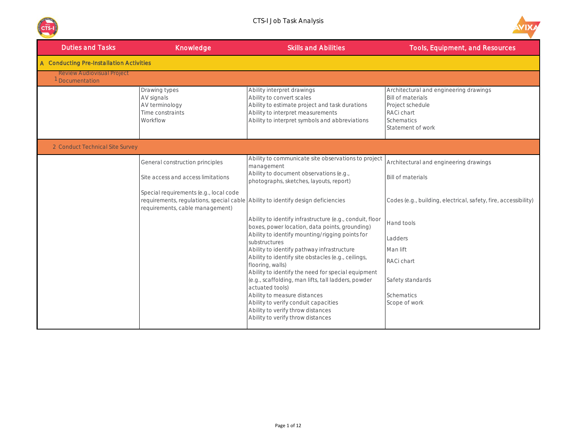



| <b>Duties and Tasks</b>                            | Knowledge                                                                                                                                                     | <b>Skills and Abilities</b>                                                                                                                                                                      | <b>Tools, Equipment, and Resources</b>                                                                                                  |
|----------------------------------------------------|---------------------------------------------------------------------------------------------------------------------------------------------------------------|--------------------------------------------------------------------------------------------------------------------------------------------------------------------------------------------------|-----------------------------------------------------------------------------------------------------------------------------------------|
| A Conducting Pre-Installation Activities           |                                                                                                                                                               |                                                                                                                                                                                                  |                                                                                                                                         |
| <b>Review Audiovisual Project</b><br>Documentation |                                                                                                                                                               |                                                                                                                                                                                                  |                                                                                                                                         |
|                                                    | Drawing types<br>AV signals<br>AV terminology<br>Time constraints<br>Workflow                                                                                 | Ability interpret drawings<br>Ability to convert scales<br>Ability to estimate project and task durations<br>Ability to interpret measurements<br>Ability to interpret symbols and abbreviations | Architectural and engineering drawings<br><b>Bill of materials</b><br>Project schedule<br>RACi chart<br>Schematics<br>Statement of work |
| 2 Conduct Technical Site Survey                    |                                                                                                                                                               |                                                                                                                                                                                                  |                                                                                                                                         |
|                                                    | General construction principles                                                                                                                               | Ability to communicate site observations to project<br>management                                                                                                                                | Architectural and engineering drawings                                                                                                  |
|                                                    | Site access and access limitations                                                                                                                            | Ability to document observations (e.g.,<br>photographs, sketches, layouts, report)                                                                                                               | <b>Bill of materials</b>                                                                                                                |
|                                                    | Special requirements (e.g., local code<br>requirements, regulations, special cable Ability to identify design deficiencies<br>requirements, cable management) |                                                                                                                                                                                                  | Codes (e.g., building, electrical, safety, fire, accessibility)                                                                         |
|                                                    |                                                                                                                                                               | Ability to identify infrastructure (e.g., conduit, floor<br>boxes, power location, data points, grounding)                                                                                       | Hand tools                                                                                                                              |
|                                                    |                                                                                                                                                               | Ability to identify mounting/rigging points for<br>substructures                                                                                                                                 | Ladders                                                                                                                                 |
|                                                    |                                                                                                                                                               | Ability to identify pathway infrastructure<br>Ability to identify site obstacles (e.g., ceilings,                                                                                                | Man lift                                                                                                                                |
|                                                    |                                                                                                                                                               | flooring, walls)<br>Ability to identify the need for special equipment                                                                                                                           | RACi chart                                                                                                                              |
|                                                    |                                                                                                                                                               | (e.g., scaffolding, man lifts, tall ladders, powder                                                                                                                                              | Safety standards                                                                                                                        |
|                                                    |                                                                                                                                                               | actuated tools)<br>Ability to measure distances                                                                                                                                                  | <b>Schematics</b>                                                                                                                       |
|                                                    |                                                                                                                                                               | Ability to verify conduit capacities<br>Ability to verify throw distances                                                                                                                        | Scope of work                                                                                                                           |
|                                                    |                                                                                                                                                               | Ability to verify throw distances                                                                                                                                                                |                                                                                                                                         |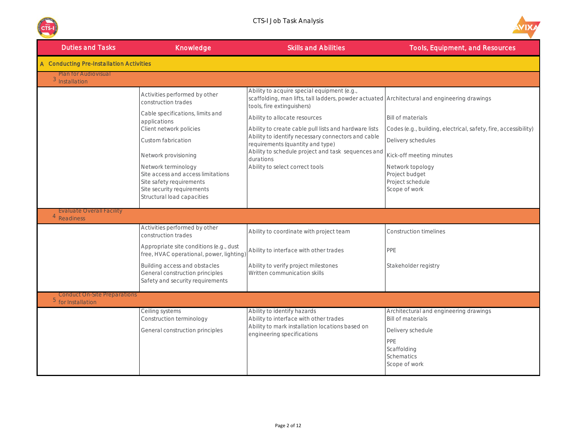



| <b>Duties and Tasks</b>                                   | Knowledge                                                                                                                                         | <b>Skills and Abilities</b>                                                                                                                                               | <b>Tools, Equipment, and Resources</b>                                                                                                       |
|-----------------------------------------------------------|---------------------------------------------------------------------------------------------------------------------------------------------------|---------------------------------------------------------------------------------------------------------------------------------------------------------------------------|----------------------------------------------------------------------------------------------------------------------------------------------|
| A Conducting Pre-Installation Activities                  |                                                                                                                                                   |                                                                                                                                                                           |                                                                                                                                              |
| <b>Plan for Audiovisual</b><br>$3$ Installation           |                                                                                                                                                   |                                                                                                                                                                           |                                                                                                                                              |
|                                                           | Activities performed by other<br>construction trades                                                                                              | Ability to acquire special equipment (e.g.,<br>scaffolding, man lifts, tall ladders, powder actuated Architectural and engineering drawings<br>tools, fire extinguishers) |                                                                                                                                              |
|                                                           | Cable specifications, limits and<br>applications<br>Client network policies                                                                       | Ability to allocate resources<br>Ability to create cable pull lists and hardware lists                                                                                    | <b>Bill of materials</b><br>Codes (e.g., building, electrical, safety, fire, accessibility)                                                  |
|                                                           | Custom fabrication                                                                                                                                | Ability to identify necessary connectors and cable<br>requirements (quantity and type)                                                                                    | Delivery schedules                                                                                                                           |
|                                                           | Network provisioning                                                                                                                              | Ability to schedule project and task sequences and<br>durations                                                                                                           | Kick-off meeting minutes                                                                                                                     |
|                                                           | Network terminology<br>Site access and access limitations<br>Site safety requirements<br>Site security requirements<br>Structural load capacities | Ability to select correct tools                                                                                                                                           | Network topology<br>Project budget<br>Project schedule<br>Scope of work                                                                      |
| <b>Evaluate Overall Facility</b><br>4<br>Readiness        |                                                                                                                                                   |                                                                                                                                                                           |                                                                                                                                              |
|                                                           | Activities performed by other<br>construction trades                                                                                              | Ability to coordinate with project team                                                                                                                                   | <b>Construction timelines</b>                                                                                                                |
|                                                           | Appropriate site conditions (e.g., dust<br>free, HVAC operational, power, lighting)                                                               | Ability to interface with other trades                                                                                                                                    | PPE                                                                                                                                          |
|                                                           | Building access and obstacles<br>General construction principles<br>Safety and security requirements                                              | Ability to verify project milestones<br>Written communication skills                                                                                                      | Stakeholder registry                                                                                                                         |
| <b>Conduct On-Site Preparations</b><br>5 for Installation |                                                                                                                                                   |                                                                                                                                                                           |                                                                                                                                              |
|                                                           | Ceiling systems<br>Construction terminology<br>General construction principles                                                                    | Ability to identify hazards<br>Ability to interface with other trades<br>Ability to mark installation locations based on<br>engineering specifications                    | Architectural and engineering drawings<br><b>Bill of materials</b><br>Delivery schedule<br>PPE<br>Scaffolding<br>Schematics<br>Scope of work |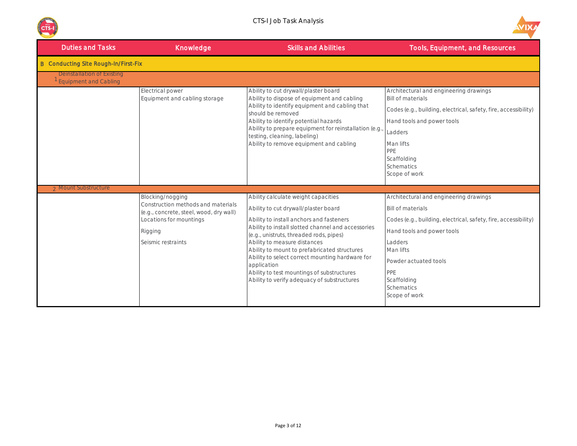



| <b>Duties and Tasks</b>                                    | Knowledge                                                                                                                                                     | <b>Skills and Abilities</b>                                                                                                                                                                                                                                                                                                                                                                                                                                             | <b>Tools, Equipment, and Resources</b>                                                                                                                                                                                                                                           |  |  |
|------------------------------------------------------------|---------------------------------------------------------------------------------------------------------------------------------------------------------------|-------------------------------------------------------------------------------------------------------------------------------------------------------------------------------------------------------------------------------------------------------------------------------------------------------------------------------------------------------------------------------------------------------------------------------------------------------------------------|----------------------------------------------------------------------------------------------------------------------------------------------------------------------------------------------------------------------------------------------------------------------------------|--|--|
| <b>B</b> Conducting Site Rough-In/First-Fix                |                                                                                                                                                               |                                                                                                                                                                                                                                                                                                                                                                                                                                                                         |                                                                                                                                                                                                                                                                                  |  |  |
| Deinstallation of Existing<br><b>Equipment and Cabling</b> |                                                                                                                                                               |                                                                                                                                                                                                                                                                                                                                                                                                                                                                         |                                                                                                                                                                                                                                                                                  |  |  |
|                                                            | <b>Electrical power</b><br>Equipment and cabling storage                                                                                                      | Ability to cut drywall/plaster board<br>Ability to dispose of equipment and cabling<br>Ability to identify equipment and cabling that<br>should be removed<br>Ability to identify potential hazards<br>Ability to prepare equipment for reinstallation (e.g.<br>testing, cleaning, labeling)<br>Ability to remove equipment and cabling                                                                                                                                 | Architectural and engineering drawings<br><b>Bill of materials</b><br>Codes (e.g., building, electrical, safety, fire, accessibility)<br>Hand tools and power tools<br>Ladders<br>Man lifts<br>PPE<br>Scaffolding<br><b>Schematics</b><br>Scope of work                          |  |  |
| 2 Mount Substructure                                       |                                                                                                                                                               |                                                                                                                                                                                                                                                                                                                                                                                                                                                                         |                                                                                                                                                                                                                                                                                  |  |  |
|                                                            | Blocking/nogging<br>Construction methods and materials<br>(e.g., concrete, steel, wood, dry wall)<br>Locations for mountings<br>Rigging<br>Seismic restraints | Ability calculate weight capacities<br>Ability to cut drywall/plaster board<br>Ability to install anchors and fasteners<br>Ability to install slotted channel and accessories<br>(e.g., unistruts, threaded rods, pipes)<br>Ability to measure distances<br>Ability to mount to prefabricated structures<br>Ability to select correct mounting hardware for<br>application<br>Ability to test mountings of substructures<br>Ability to verify adequacy of substructures | Architectural and engineering drawings<br><b>Bill of materials</b><br>Codes (e.g., building, electrical, safety, fire, accessibility)<br>Hand tools and power tools<br>Ladders<br>Man lifts<br>Powder actuated tools<br>PPE<br>Scaffolding<br><b>Schematics</b><br>Scope of work |  |  |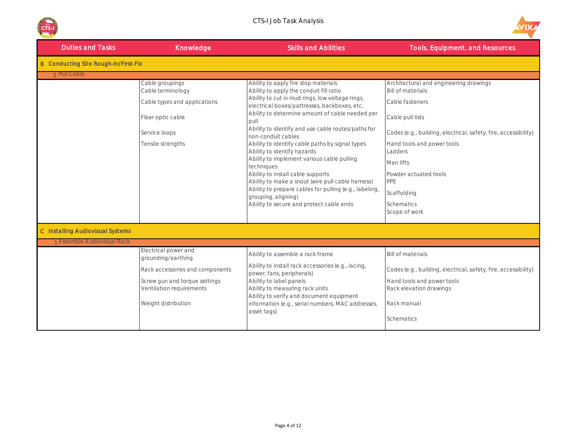



| <b>Duties and Tasks</b>                     | Knowledge                                                                                                                                                         | <b>Skills and Abilities</b>                                                                                                                                                                                                                                                                                                                                                                                                                                                                                                                                                                                                                                                                    | <b>Tools, Equipment, and Resources</b>                                                                                                                                                                                                                                                                                  |
|---------------------------------------------|-------------------------------------------------------------------------------------------------------------------------------------------------------------------|------------------------------------------------------------------------------------------------------------------------------------------------------------------------------------------------------------------------------------------------------------------------------------------------------------------------------------------------------------------------------------------------------------------------------------------------------------------------------------------------------------------------------------------------------------------------------------------------------------------------------------------------------------------------------------------------|-------------------------------------------------------------------------------------------------------------------------------------------------------------------------------------------------------------------------------------------------------------------------------------------------------------------------|
| <b>B</b> Conducting Site Rough-In/First-Fix |                                                                                                                                                                   |                                                                                                                                                                                                                                                                                                                                                                                                                                                                                                                                                                                                                                                                                                |                                                                                                                                                                                                                                                                                                                         |
| 3 Pull Cable                                |                                                                                                                                                                   |                                                                                                                                                                                                                                                                                                                                                                                                                                                                                                                                                                                                                                                                                                |                                                                                                                                                                                                                                                                                                                         |
|                                             | Cable groupings<br>Cable terminology<br>Cable types and applications<br>Fiber optic cable<br>Service loops<br>Tensile strengths                                   | Ability to apply fire stop materials<br>Ability to apply the conduit fill ratio<br>Ability to cut in mud rings, low voltage rings,<br>electrical boxes/pattresses, backboxes, etc.<br>Ability to determine amount of cable needed per<br>pull<br>Ability to identify and use cable routes/paths for<br>non-conduit cables<br>Ability to identify cable paths by signal types<br>Ability to identify hazards<br>Ability to implement various cable pulling<br>techniques<br>Ability to install cable supports<br>Ability to make a snout (wire pull cable harness)<br>Ability to prepare cables for pulling (e.g., labeling,<br>grouping, aligning)<br>Ability to secure and protect cable ends | Architectural and engineering drawings<br><b>Bill of materials</b><br>Cable fasteners<br>Cable pull lists<br>Codes (e.g., building, electrical, safety, fire, accessibility)<br>Hand tools and power tools<br>Ladders<br>Man lifts<br>Powder actuated tools<br>PPE<br>Scaffolding<br><b>Schematics</b><br>Scope of work |
|                                             |                                                                                                                                                                   |                                                                                                                                                                                                                                                                                                                                                                                                                                                                                                                                                                                                                                                                                                |                                                                                                                                                                                                                                                                                                                         |
| C Installing Audiovisual Systems            |                                                                                                                                                                   |                                                                                                                                                                                                                                                                                                                                                                                                                                                                                                                                                                                                                                                                                                |                                                                                                                                                                                                                                                                                                                         |
| <b>Assemble Audiovisual Rack</b>            |                                                                                                                                                                   |                                                                                                                                                                                                                                                                                                                                                                                                                                                                                                                                                                                                                                                                                                |                                                                                                                                                                                                                                                                                                                         |
|                                             | Electrical power and<br>grounding/earthing<br>Rack accessories and components<br>Screw gun and torque settings<br>Ventilation requirements<br>Weight distribution | Ability to assemble a rack frame<br>Ability to install rack accessories (e.g., lacing,<br>power, fans, peripherals)<br>Ability to label panels<br>Ability to measuring rack units<br>Ability to verify and document equipment<br>information (e.g., serial numbers, MAC addresses,<br>asset tags)                                                                                                                                                                                                                                                                                                                                                                                              | <b>Bill of materials</b><br>Codes (e.g., building, electrical, safety, fire, accessibility)<br>Hand tools and power tools<br>Rack elevation drawings<br>Rack manual<br><b>Schematics</b>                                                                                                                                |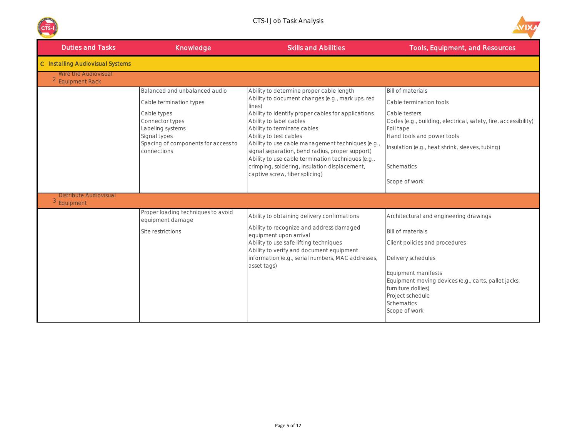



| <b>Duties and Tasks</b>                                 | Knowledge                                                                                                                                                                            | <b>Skills and Abilities</b>                                                                                                                                                                                                                                                                                                                                                                                                                                                                      | <b>Tools, Equipment, and Resources</b>                                                                                                                                                                                                                                                           |
|---------------------------------------------------------|--------------------------------------------------------------------------------------------------------------------------------------------------------------------------------------|--------------------------------------------------------------------------------------------------------------------------------------------------------------------------------------------------------------------------------------------------------------------------------------------------------------------------------------------------------------------------------------------------------------------------------------------------------------------------------------------------|--------------------------------------------------------------------------------------------------------------------------------------------------------------------------------------------------------------------------------------------------------------------------------------------------|
| <b>C</b> Installing Audiovisual Systems                 |                                                                                                                                                                                      |                                                                                                                                                                                                                                                                                                                                                                                                                                                                                                  |                                                                                                                                                                                                                                                                                                  |
| Wire the Audiovisual<br><sup>2</sup> Equipment Rack     |                                                                                                                                                                                      |                                                                                                                                                                                                                                                                                                                                                                                                                                                                                                  |                                                                                                                                                                                                                                                                                                  |
|                                                         | Balanced and unbalanced audio<br>Cable termination types<br>Cable types<br>Connector types<br>Labeling systems<br>Signal types<br>Spacing of components for access to<br>connections | Ability to determine proper cable length<br>Ability to document changes (e.g., mark ups, red<br>lines)<br>Ability to identify proper cables for applications<br>Ability to label cables<br>Ability to terminate cables<br>Ability to test cables<br>Ability to use cable management techniques (e.g.<br>signal separation, bend radius, proper support)<br>Ability to use cable termination techniques (e.g.,<br>crimping, soldering, insulation displacement,<br>captive screw, fiber splicing) | <b>Bill of materials</b><br>Cable termination tools<br>Cable testers<br>Codes (e.g., building, electrical, safety, fire, accessibility)<br>Foil tape<br>Hand tools and power tools<br>Insulation (e.g., heat shrink, sleeves, tubing)<br>Schematics<br>Scope of work                             |
| <b>Distribute Audiovisual</b><br><sup>3</sup> Equipment |                                                                                                                                                                                      |                                                                                                                                                                                                                                                                                                                                                                                                                                                                                                  |                                                                                                                                                                                                                                                                                                  |
|                                                         | Proper loading techniques to avoid<br>equipment damage<br>Site restrictions                                                                                                          | Ability to obtaining delivery confirmations<br>Ability to recognize and address damaged<br>equipment upon arrival<br>Ability to use safe lifting techniques<br>Ability to verify and document equipment<br>information (e.g., serial numbers, MAC addresses,<br>asset tags)                                                                                                                                                                                                                      | Architectural and engineering drawings<br><b>Bill of materials</b><br>Client policies and procedures<br>Delivery schedules<br><b>Equipment manifests</b><br>Equipment moving devices (e.g., carts, pallet jacks,<br>furniture dollies)<br>Project schedule<br><b>Schematics</b><br>Scope of work |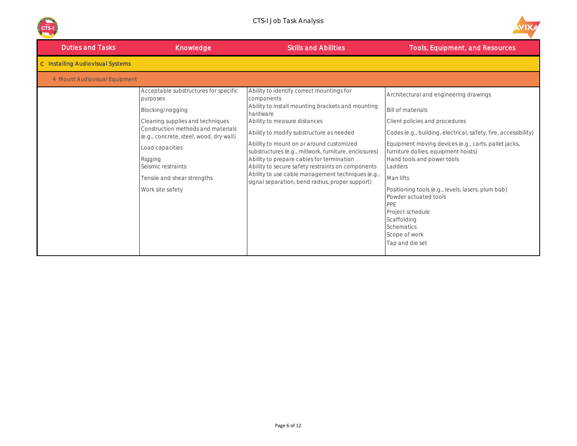



| <b>Duties and Tasks</b>                 | Knowledge                                                                                                                                                                                                                                                                                         | <b>Skills and Abilities</b>                                                                                                                                                                                                                                                                                                                                                                                                                                                                                         | <b>Tools, Equipment, and Resources</b>                                                                                                                                                                                                                                                                                                                                                                                                                                                                   |
|-----------------------------------------|---------------------------------------------------------------------------------------------------------------------------------------------------------------------------------------------------------------------------------------------------------------------------------------------------|---------------------------------------------------------------------------------------------------------------------------------------------------------------------------------------------------------------------------------------------------------------------------------------------------------------------------------------------------------------------------------------------------------------------------------------------------------------------------------------------------------------------|----------------------------------------------------------------------------------------------------------------------------------------------------------------------------------------------------------------------------------------------------------------------------------------------------------------------------------------------------------------------------------------------------------------------------------------------------------------------------------------------------------|
| <b>C</b> Installing Audiovisual Systems |                                                                                                                                                                                                                                                                                                   |                                                                                                                                                                                                                                                                                                                                                                                                                                                                                                                     |                                                                                                                                                                                                                                                                                                                                                                                                                                                                                                          |
| 4 Mount Audiovisual Equipment           |                                                                                                                                                                                                                                                                                                   |                                                                                                                                                                                                                                                                                                                                                                                                                                                                                                                     |                                                                                                                                                                                                                                                                                                                                                                                                                                                                                                          |
|                                         | Acceptable substructures for specific<br>purposes<br>Blocking/nogging<br>Cleaning supplies and techniques<br>Construction methods and materials<br>(e.g., concrete, steel, wood, dry wall)<br>Load capacities<br>Rigging<br>Seismic restraints<br>Tensile and shear strengths<br>Work site safety | Ability to identify correct mountings for<br>components<br>Ability to install mounting brackets and mounting<br>hardware<br>Ability to measure distances<br>Ability to modify substructure as needed<br>Ability to mount on or around customized<br>substructures (e.g., millwork, furniture, enclosures)<br>Ability to prepare cables for termination<br>Ability to secure safety restraints on components<br>Ability to use cable management techniques (e.g.,<br>signal separation, bend radius, proper support) | Architectural and engineering drawings<br><b>Bill of materials</b><br>Client policies and procedures<br>Codes (e.g., building, electrical, safety, fire, accessibility)<br>Equipment moving devices (e.g., carts, pallet jacks,<br>furniture dollies, equipment hoists)<br>Hand tools and power tools<br>Ladders<br>Man lifts<br>Positioning tools (e.g., levels, lasers, plum bob)<br>Powder actuated tools<br>PPE<br>Project schedule<br>Scaffolding<br>Schematics<br>Scope of work<br>Tap and die set |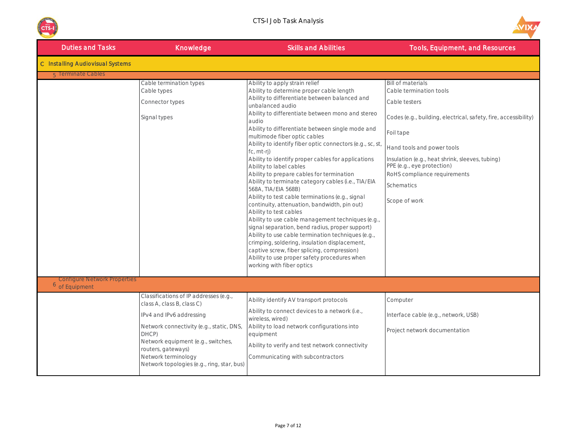



| <b>Duties and Tasks</b>                 | Knowledge                                                                                                                                                                                                                                                                              | <b>Skills and Abilities</b>                                                                                                                                                                                                                                                                                                                                                                                                                                                                                                                                                                                                                                                                                                                                                                                                                                                                                                                                                                                                                                      | <b>Tools, Equipment, and Resources</b>                                                                                                                                                                                                                                                                                             |
|-----------------------------------------|----------------------------------------------------------------------------------------------------------------------------------------------------------------------------------------------------------------------------------------------------------------------------------------|------------------------------------------------------------------------------------------------------------------------------------------------------------------------------------------------------------------------------------------------------------------------------------------------------------------------------------------------------------------------------------------------------------------------------------------------------------------------------------------------------------------------------------------------------------------------------------------------------------------------------------------------------------------------------------------------------------------------------------------------------------------------------------------------------------------------------------------------------------------------------------------------------------------------------------------------------------------------------------------------------------------------------------------------------------------|------------------------------------------------------------------------------------------------------------------------------------------------------------------------------------------------------------------------------------------------------------------------------------------------------------------------------------|
| <b>C</b> Installing Audiovisual Systems |                                                                                                                                                                                                                                                                                        |                                                                                                                                                                                                                                                                                                                                                                                                                                                                                                                                                                                                                                                                                                                                                                                                                                                                                                                                                                                                                                                                  |                                                                                                                                                                                                                                                                                                                                    |
| 5 Terminate Cables                      |                                                                                                                                                                                                                                                                                        |                                                                                                                                                                                                                                                                                                                                                                                                                                                                                                                                                                                                                                                                                                                                                                                                                                                                                                                                                                                                                                                                  |                                                                                                                                                                                                                                                                                                                                    |
|                                         | Cable termination types<br>Cable types<br>Connector types<br>Signal types                                                                                                                                                                                                              | Ability to apply strain relief<br>Ability to determine proper cable length<br>Ability to differentiate between balanced and<br>unbalanced audio<br>Ability to differentiate between mono and stereo<br>audio<br>Ability to differentiate between single mode and<br>multimode fiber optic cables<br>Ability to identify fiber optic connectors (e.g., sc, st,<br>fc, mt-ri)<br>Ability to identify proper cables for applications<br>Ability to label cables<br>Ability to prepare cables for termination<br>Ability to terminate category cables (i.e., TIA/EIA<br>568A, TIA/EIA 568B)<br>Ability to test cable terminations (e.g., signal<br>continuity, attenuation, bandwidth, pin out)<br>Ability to test cables<br>Ability to use cable management techniques (e.g.,<br>signal separation, bend radius, proper support)<br>Ability to use cable termination techniques (e.g.,<br>crimping, soldering, insulation displacement,<br>captive screw, fiber splicing, compression)<br>Ability to use proper safety procedures when<br>working with fiber optics | <b>Bill of materials</b><br>Cable termination tools<br>Cable testers<br>Codes (e.g., building, electrical, safety, fire, accessibility)<br>Foil tape<br>Hand tools and power tools<br>Insulation (e.g., heat shrink, sleeves, tubing)<br>PPE (e.g., eye protection)<br>RoHS compliance requirements<br>Schematics<br>Scope of work |
| <b>Configure Network Properties</b>     |                                                                                                                                                                                                                                                                                        |                                                                                                                                                                                                                                                                                                                                                                                                                                                                                                                                                                                                                                                                                                                                                                                                                                                                                                                                                                                                                                                                  |                                                                                                                                                                                                                                                                                                                                    |
| <sup>6</sup> of Equipment               |                                                                                                                                                                                                                                                                                        |                                                                                                                                                                                                                                                                                                                                                                                                                                                                                                                                                                                                                                                                                                                                                                                                                                                                                                                                                                                                                                                                  |                                                                                                                                                                                                                                                                                                                                    |
|                                         | Classifications of IP addresses (e.g.,<br>class A, class B, class C)<br>IPv4 and IPv6 addressing<br>Network connectivity (e.g., static, DNS,<br>DHCP)<br>Network equipment (e.g., switches,<br>routers, gateways)<br>Network terminology<br>Network topologies (e.g., ring, star, bus) | Ability identify AV transport protocols<br>Ability to connect devices to a network (i.e.,<br>wireless, wired)<br>Ability to load network configurations into<br>equipment<br>Ability to verify and test network connectivity<br>Communicating with subcontractors                                                                                                                                                                                                                                                                                                                                                                                                                                                                                                                                                                                                                                                                                                                                                                                                | Computer<br>Interface cable (e.g., network, USB)<br>Project network documentation                                                                                                                                                                                                                                                  |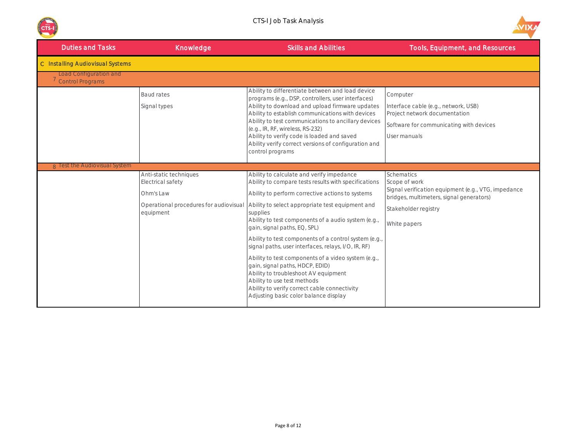



| <b>Duties and Tasks</b>                                  | Knowledge                                                             | <b>Skills and Abilities</b>                                                                                                                                                                                                                                                                                                                                                                                                                                                                                                                                                                                                                                                                                                   | <b>Tools, Equipment, and Resources</b>                                                                                                                                        |
|----------------------------------------------------------|-----------------------------------------------------------------------|-------------------------------------------------------------------------------------------------------------------------------------------------------------------------------------------------------------------------------------------------------------------------------------------------------------------------------------------------------------------------------------------------------------------------------------------------------------------------------------------------------------------------------------------------------------------------------------------------------------------------------------------------------------------------------------------------------------------------------|-------------------------------------------------------------------------------------------------------------------------------------------------------------------------------|
| <b>C</b> Installing Audiovisual Systems                  |                                                                       |                                                                                                                                                                                                                                                                                                                                                                                                                                                                                                                                                                                                                                                                                                                               |                                                                                                                                                                               |
| <b>Load Configuration and</b><br><b>Control Programs</b> |                                                                       |                                                                                                                                                                                                                                                                                                                                                                                                                                                                                                                                                                                                                                                                                                                               |                                                                                                                                                                               |
|                                                          | <b>Baud rates</b><br>Signal types                                     | Ability to differentiate between and load device<br>programs (e.g., DSP, controllers, user interfaces)<br>Ability to download and upload firmware updates<br>Ability to establish communications with devices<br>Ability to test communications to ancillary devices<br>(e.g., IR, RF, wireless, RS-232)<br>Ability to verify code is loaded and saved<br>Ability verify correct versions of configuration and<br>control programs                                                                                                                                                                                                                                                                                            | Computer<br>Interface cable (e.g., network, USB)<br>Project network documentation<br>Software for communicating with devices<br>User manuals                                  |
| <b>A</b> Test the Audiovisual System                     |                                                                       |                                                                                                                                                                                                                                                                                                                                                                                                                                                                                                                                                                                                                                                                                                                               |                                                                                                                                                                               |
|                                                          | Anti-static techniques<br>Electrical safety<br>Ohm's Law<br>equipment | Ability to calculate and verify impedance<br>Ability to compare tests results with specifications<br>Ability to perform corrective actions to systems<br>Operational procedures for audiovisual Ability to select appropriate test equipment and<br>supplies<br>Ability to test components of a audio system (e.g.,<br>gain, signal paths, EQ, SPL)<br>Ability to test components of a control system (e.g.,<br>signal paths, user interfaces, relays, I/O, IR, RF)<br>Ability to test components of a video system (e.g.,<br>gain, signal paths, HDCP, EDID)<br>Ability to troubleshoot AV equipment<br>Ability to use test methods<br>Ability to verify correct cable connectivity<br>Adjusting basic color balance display | <b>Schematics</b><br>Scope of work<br>Signal verification equipment (e.g., VTG, impedance<br>bridges, multimeters, signal generators)<br>Stakeholder registry<br>White papers |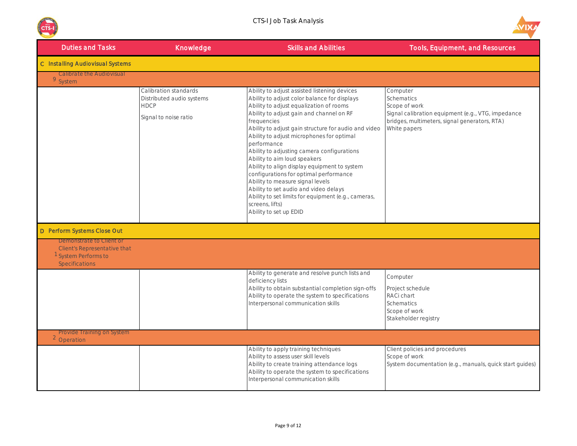



| <b>Duties and Tasks</b>                                                                                                     | Knowledge                                                                                  | <b>Skills and Abilities</b>                                                                                                                                                                                                                                                                                                                                                                                                                                                                                                                                                                                                                                                     | <b>Tools, Equipment, and Resources</b>                                                                                                                         |
|-----------------------------------------------------------------------------------------------------------------------------|--------------------------------------------------------------------------------------------|---------------------------------------------------------------------------------------------------------------------------------------------------------------------------------------------------------------------------------------------------------------------------------------------------------------------------------------------------------------------------------------------------------------------------------------------------------------------------------------------------------------------------------------------------------------------------------------------------------------------------------------------------------------------------------|----------------------------------------------------------------------------------------------------------------------------------------------------------------|
| C Installing Audiovisual Systems                                                                                            |                                                                                            |                                                                                                                                                                                                                                                                                                                                                                                                                                                                                                                                                                                                                                                                                 |                                                                                                                                                                |
| <b>Calibrate the Audiovisual</b><br><sup>9</sup> System                                                                     |                                                                                            |                                                                                                                                                                                                                                                                                                                                                                                                                                                                                                                                                                                                                                                                                 |                                                                                                                                                                |
|                                                                                                                             | Calibration standards<br>Distributed audio systems<br><b>HDCP</b><br>Signal to noise ratio | Ability to adjust assisted listening devices<br>Ability to adjust color balance for displays<br>Ability to adjust equalization of rooms<br>Ability to adjust gain and channel on RF<br>frequencies<br>Ability to adjust gain structure for audio and video<br>Ability to adjust microphones for optimal<br>performance<br>Ability to adjusting camera configurations<br>Ability to aim loud speakers<br>Ability to align display equipment to system<br>configurations for optimal performance<br>Ability to measure signal levels<br>Ability to set audio and video delays<br>Ability to set limits for equipment (e.g., cameras,<br>screens, lifts)<br>Ability to set up EDID | Computer<br>Schematics<br>Scope of work<br>Signal calibration equipment (e.g., VTG, impedance<br>bridges, multimeters, signal generators, RTA)<br>White papers |
| D Perform Systems Close Out                                                                                                 |                                                                                            |                                                                                                                                                                                                                                                                                                                                                                                                                                                                                                                                                                                                                                                                                 |                                                                                                                                                                |
| Demonstrate to Client or<br><b>Client's Representative that</b><br><sup>1</sup> System Performs to<br><b>Specifications</b> |                                                                                            |                                                                                                                                                                                                                                                                                                                                                                                                                                                                                                                                                                                                                                                                                 |                                                                                                                                                                |
|                                                                                                                             |                                                                                            | Ability to generate and resolve punch lists and<br>deficiency lists<br>Ability to obtain substantial completion sign-offs<br>Ability to operate the system to specifications<br>Interpersonal communication skills                                                                                                                                                                                                                                                                                                                                                                                                                                                              | Computer<br>Project schedule<br>RACi chart<br><b>Schematics</b><br>Scope of work<br>Stakeholder registry                                                       |
| Provide Training on System<br><sup>2</sup> Operation                                                                        |                                                                                            |                                                                                                                                                                                                                                                                                                                                                                                                                                                                                                                                                                                                                                                                                 |                                                                                                                                                                |
|                                                                                                                             |                                                                                            | Ability to apply training techniques<br>Ability to assess user skill levels<br>Ability to create training attendance logs<br>Ability to operate the system to specifications<br>Interpersonal communication skills                                                                                                                                                                                                                                                                                                                                                                                                                                                              | Client policies and procedures<br>Scope of work<br>System documentation (e.g., manuals, quick start guides)                                                    |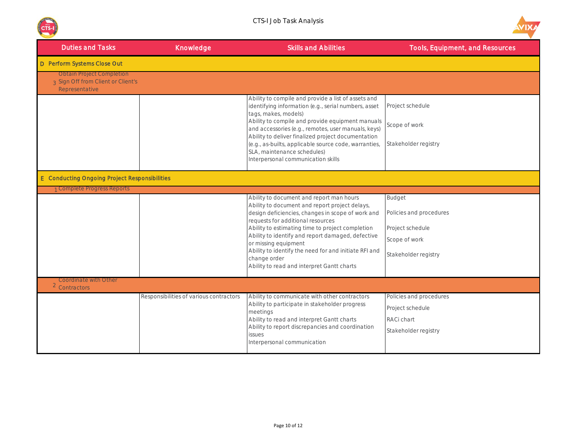



| <b>Duties and Tasks</b>                                                                  | Knowledge                               | <b>Skills and Abilities</b>                                                                                                                                                                                                                                                                                                                                                                                                                  | <b>Tools, Equipment, and Resources</b>                                                                |
|------------------------------------------------------------------------------------------|-----------------------------------------|----------------------------------------------------------------------------------------------------------------------------------------------------------------------------------------------------------------------------------------------------------------------------------------------------------------------------------------------------------------------------------------------------------------------------------------------|-------------------------------------------------------------------------------------------------------|
| D Perform Systems Close Out                                                              |                                         |                                                                                                                                                                                                                                                                                                                                                                                                                                              |                                                                                                       |
| <b>Obtain Project Completion</b><br>3 Sign Off from Client or Client's<br>Representative |                                         |                                                                                                                                                                                                                                                                                                                                                                                                                                              |                                                                                                       |
|                                                                                          |                                         | Ability to compile and provide a list of assets and<br>identifying information (e.g., serial numbers, asset<br>tags, makes, models)<br>Ability to compile and provide equipment manuals<br>and accessories (e.g., remotes, user manuals, keys)<br>Ability to deliver finalized project documentation<br>(e.g., as-builts, applicable source code, warranties,<br>SLA, maintenance schedules)                                                 | Project schedule<br>Scope of work<br>Stakeholder registry                                             |
|                                                                                          |                                         | Interpersonal communication skills                                                                                                                                                                                                                                                                                                                                                                                                           |                                                                                                       |
| <b>E</b> Conducting Ongoing Project Responsibilities                                     |                                         |                                                                                                                                                                                                                                                                                                                                                                                                                                              |                                                                                                       |
| 1 Complete Progress Reports                                                              |                                         |                                                                                                                                                                                                                                                                                                                                                                                                                                              |                                                                                                       |
|                                                                                          |                                         | Ability to document and report man hours<br>Ability to document and report project delays,<br>design deficiencies, changes in scope of work and<br>requests for additional resources<br>Ability to estimating time to project completion<br>Ability to identify and report damaged, defective<br>or missing equipment<br>Ability to identify the need for and initiate RFI and<br>change order<br>Ability to read and interpret Gantt charts | <b>Budget</b><br>Policies and procedures<br>Project schedule<br>Scope of work<br>Stakeholder registry |
| <b>Coordinate with Other</b><br><sup>2</sup> Contractors                                 |                                         |                                                                                                                                                                                                                                                                                                                                                                                                                                              |                                                                                                       |
|                                                                                          | Responsibilities of various contractors | Ability to communicate with other contractors                                                                                                                                                                                                                                                                                                                                                                                                | Policies and procedures                                                                               |
|                                                                                          |                                         | Ability to participate in stakeholder progress<br>meetings<br>Ability to read and interpret Gantt charts                                                                                                                                                                                                                                                                                                                                     | Project schedule<br>RACi chart                                                                        |
|                                                                                          |                                         | Ability to report discrepancies and coordination<br>issues<br>Interpersonal communication                                                                                                                                                                                                                                                                                                                                                    | Stakeholder registry                                                                                  |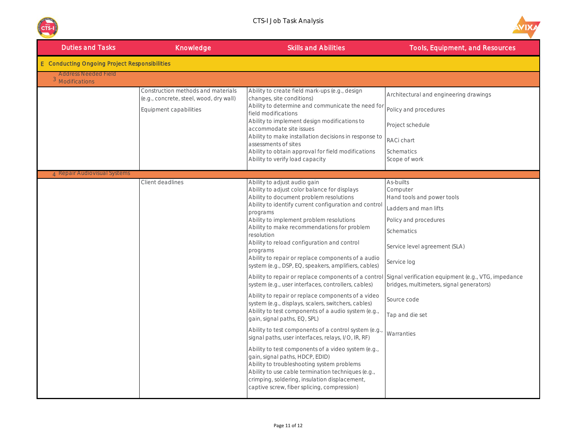



| <b>Duties and Tasks</b>                              | Knowledge                                                                                               | <b>Skills and Abilities</b>                                                                                                                                                                                                                                                                                                                                                                                                                                                                                                                                                                                                                                                                                                                                                                                                                                                                                                                                                                                                                                                                                                                                                                                    | <b>Tools, Equipment, and Resources</b>                                                                                                                                                                                                                                                                                 |
|------------------------------------------------------|---------------------------------------------------------------------------------------------------------|----------------------------------------------------------------------------------------------------------------------------------------------------------------------------------------------------------------------------------------------------------------------------------------------------------------------------------------------------------------------------------------------------------------------------------------------------------------------------------------------------------------------------------------------------------------------------------------------------------------------------------------------------------------------------------------------------------------------------------------------------------------------------------------------------------------------------------------------------------------------------------------------------------------------------------------------------------------------------------------------------------------------------------------------------------------------------------------------------------------------------------------------------------------------------------------------------------------|------------------------------------------------------------------------------------------------------------------------------------------------------------------------------------------------------------------------------------------------------------------------------------------------------------------------|
| <b>E</b> Conducting Ongoing Project Responsibilities |                                                                                                         |                                                                                                                                                                                                                                                                                                                                                                                                                                                                                                                                                                                                                                                                                                                                                                                                                                                                                                                                                                                                                                                                                                                                                                                                                |                                                                                                                                                                                                                                                                                                                        |
| Address Needed Field<br><sup>3</sup> Modifications   |                                                                                                         |                                                                                                                                                                                                                                                                                                                                                                                                                                                                                                                                                                                                                                                                                                                                                                                                                                                                                                                                                                                                                                                                                                                                                                                                                |                                                                                                                                                                                                                                                                                                                        |
|                                                      | Construction methods and materials<br>(e.g., concrete, steel, wood, dry wall)<br>Equipment capabilities | Ability to create field mark-ups (e.g., design<br>changes, site conditions)<br>Ability to determine and communicate the need for<br>field modifications<br>Ability to implement design modifications to<br>accommodate site issues<br>Ability to make installation decisions in response to<br>assessments of sites<br>Ability to obtain approval for field modifications<br>Ability to verify load capacity                                                                                                                                                                                                                                                                                                                                                                                                                                                                                                                                                                                                                                                                                                                                                                                                   | Architectural and engineering drawings<br>Policy and procedures<br>Project schedule<br>RACi chart<br>Schematics<br>Scope of work                                                                                                                                                                                       |
| 4 Repair Audiovisual Systems                         |                                                                                                         |                                                                                                                                                                                                                                                                                                                                                                                                                                                                                                                                                                                                                                                                                                                                                                                                                                                                                                                                                                                                                                                                                                                                                                                                                |                                                                                                                                                                                                                                                                                                                        |
|                                                      | Client deadlines                                                                                        | Ability to adjust audio gain<br>Ability to adjust color balance for displays<br>Ability to document problem resolutions<br>Ability to identify current configuration and control<br>programs<br>Ability to implement problem resolutions<br>Ability to make recommendations for problem<br>resolution<br>Ability to reload configuration and control<br>programs<br>Ability to repair or replace components of a audio<br>system (e.g., DSP, EQ, speakers, amplifiers, cables)<br>Ability to repair or replace components of a control<br>system (e.g., user interfaces, controllers, cables)<br>Ability to repair or replace components of a video<br>system (e.g., displays, scalers, switchers, cables)<br>Ability to test components of a audio system (e.g.,<br>gain, signal paths, EQ, SPL)<br>Ability to test components of a control system (e.g.<br>signal paths, user interfaces, relays, I/O, IR, RF)<br>Ability to test components of a video system (e.g.,<br>gain, signal paths, HDCP, EDID)<br>Ability to troubleshooting system problems<br>Ability to use cable termination techniques (e.g.,<br>crimping, soldering, insulation displacement,<br>captive screw, fiber splicing, compression) | As-builts<br>Computer<br>Hand tools and power tools<br>Ladders and man lifts<br>Policy and procedures<br>Schematics<br>Service level agreement (SLA)<br>Service log<br>Signal verification equipment (e.g., VTG, impedance<br>bridges, multimeters, signal generators)<br>Source code<br>Tap and die set<br>Warranties |